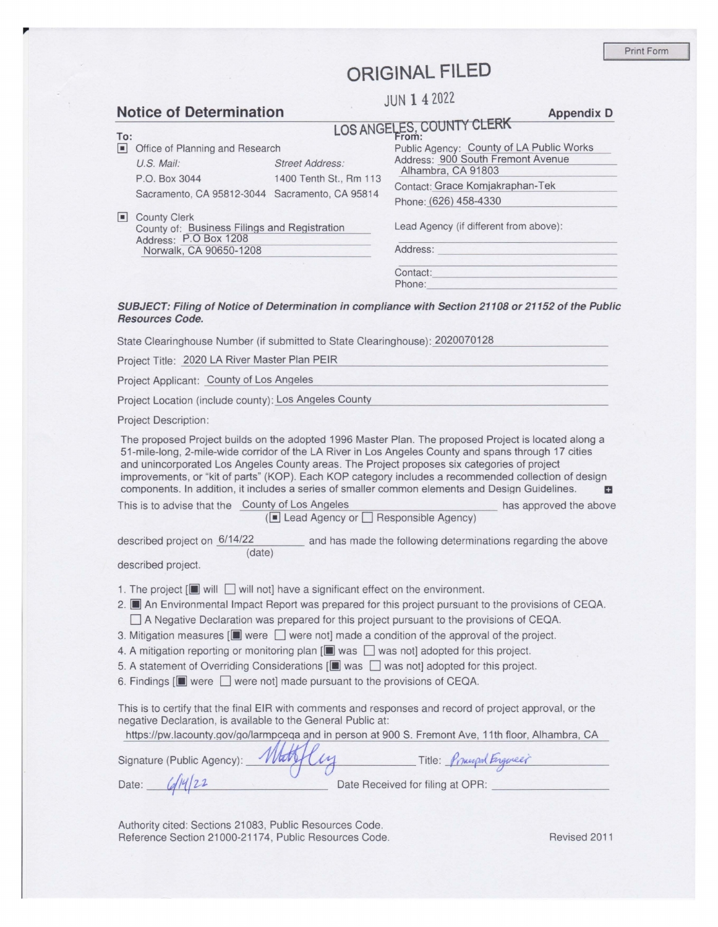Print Form

## **ORIGINAL FILED**

|                                |                                                                                              |                        | <b>JUN 1 4 2022</b>                                                                                |                   |  |
|--------------------------------|----------------------------------------------------------------------------------------------|------------------------|----------------------------------------------------------------------------------------------------|-------------------|--|
| <b>Notice of Determination</b> |                                                                                              |                        |                                                                                                    | <b>Appendix D</b> |  |
| To:                            |                                                                                              |                        | LOS ANGELES, COUNTY CLERK                                                                          |                   |  |
| П                              | Office of Planning and Research                                                              |                        | Public Agency: County of LA Public Works                                                           |                   |  |
|                                | $U.S.$ Mail:                                                                                 | <b>Street Address:</b> | Address: 900 South Fremont Avenue<br>Alhambra, CA 91803                                            |                   |  |
|                                | P.O. Box 3044                                                                                | 1400 Tenth St., Rm 113 | Contact: Grace Komjakraphan-Tek                                                                    |                   |  |
|                                | Sacramento, CA 95812-3044 Sacramento, CA 95814                                               |                        | Phone: (626) 458-4330                                                                              |                   |  |
| $\vert \bullet \vert$          | <b>County Clerk</b><br>County of: Business Filings and Registration<br>Address: P.O Box 1208 |                        | Lead Agency (if different from above):                                                             |                   |  |
|                                | Norwalk, CA 90650-1208                                                                       |                        | Address:                                                                                           |                   |  |
|                                |                                                                                              |                        | Contact:<br>Phone:                                                                                 |                   |  |
|                                | <b>Resources Code.</b>                                                                       |                        | SUBJECT: Filing of Notice of Determination in compliance with Section 21108 or 21152 of the Public |                   |  |
|                                | State Clearinghouse Number (if submitted to State Clearinghouse): 2020070128                 |                        |                                                                                                    |                   |  |
|                                | Project Title: 2020 LA River Master Plan PEIR                                                |                        |                                                                                                    |                   |  |

Project Applicant: County of Los Angeles

Project Location (include county): Los Angeles County

Project Description:

The proposed Project builds on the adopted 1996 Master Plan. The proposed Project is located along a 51-mile-long, 2-mile-wide corridor of the LA River in Los Angeles County and spans through 17 cities and unincorporated Los Angeles County areas. The Project proposes six categories of project improvements, or "kit of parts" (KOP). Each KOP category includes a recommended collection of design components. In addition, it includes a series of smaller common elements and Design Guidelines. **a** 

This is to advise that the County of Los Angeles has approved the above  $(\blacksquare$  Lead Agency or  $\blacksquare$  Responsible Agency)

described project on  $6/14/22$  and has made the following determinations regarding the above (date)

described project.

- 1. The project  $[\blacksquare$  will  $\Box$  will not] have a significant effect on the environment.
- 2. **II** An Environmental Impact Report was prepared for this project pursuant to the provisions of CEQA.  $\Box$  A Negative Declaration was prepared for this project pursuant to the provisions of CEQA.
- 3. Mitigation measures  $[\blacksquare]$  were  $\Box$  were not] made a condition of the approval of the project.
- 4. A mitigation reporting or monitoring plan [ $\blacksquare$  was  $\Box$  was not] adopted for this project.
- 5. A statement of Overriding Considerations **[**all was D was not] adopted for this project.
- 6. Findings **[iii**] were  $\Box$  were not] made pursuant to the provisions of CEQA.

This is to certify that the final EIR with comments and responses and record of project approval, or the negative Declaration, is available to the General Public at:

|                                 | https://pw.lacounty.gov/go/larmpcega and in person at 900 S. Fremont Ave, 11th floor, Alhambra, CA |
|---------------------------------|----------------------------------------------------------------------------------------------------|
| Signature (Public Agency): Mary | Title: Principal Engineer                                                                          |
| 1/14/22<br>Date:                | Date Received for filing at OPR:                                                                   |

Authority cited: Sections 21083, Public Resources Code. Reference Section 21000-21174, Public Resources Code. Revised 2011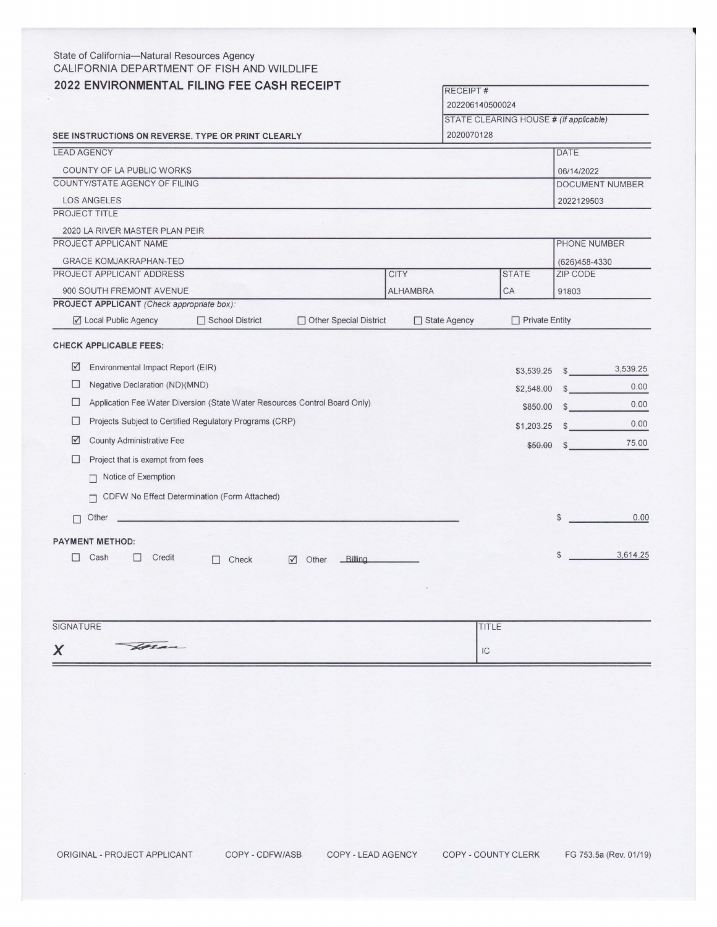| State of California-Natural Resources Agency<br>CALIFORNIA DEPARTMENT OF FISH AND WILDLIFE |                 |                                         |              |                    |  |
|--------------------------------------------------------------------------------------------|-----------------|-----------------------------------------|--------------|--------------------|--|
| 2022 ENVIRONMENTAL FILING FEE CASH RECEIPT                                                 |                 | <b>RECEIPT#</b>                         |              |                    |  |
|                                                                                            |                 | 202206140500024                         |              |                    |  |
|                                                                                            |                 | STATE CLEARING HOUSE # (If applicable)  |              |                    |  |
| SEE INSTRUCTIONS ON REVERSE. TYPE OR PRINT CLEARLY                                         |                 | 2020070128                              |              |                    |  |
| <b>LEAD AGENCY</b>                                                                         |                 |                                         | <b>DATE</b>  |                    |  |
| COUNTY OF LA PUBLIC WORKS                                                                  |                 |                                         |              | 06/14/2022         |  |
| COUNTY/STATE AGENCY OF FILING                                                              |                 | DOCUMENT NUMBER                         |              |                    |  |
| <b>LOS ANGELES</b>                                                                         |                 |                                         |              | 2022129503         |  |
| PROJECT TITLE                                                                              |                 |                                         |              |                    |  |
| 2020 LA RIVER MASTER PLAN PEIR                                                             |                 |                                         |              |                    |  |
| PROJECT APPLICANT NAME                                                                     |                 |                                         |              | PHONE NUMBER       |  |
| <b>GRACE KOMJAKRAPHAN-TED</b>                                                              |                 |                                         |              | $(626)458 - 4330$  |  |
| PROJECT APPLICANT ADDRESS                                                                  | <b>CITY</b>     | <b>STATE</b>                            |              | ZIP CODE           |  |
| 900 SOUTH FREMONT AVENUE<br>PROJECT APPLICANT (Check appropriate box):                     | <b>ALHAMBRA</b> | CA                                      | 91803        |                    |  |
| ☑ Local Public Agency<br>School District<br>□ Other Special District                       |                 | □ State Agency<br>$\Box$ Private Entity |              |                    |  |
| <b>CHECK APPLICABLE FEES:</b>                                                              |                 |                                         |              |                    |  |
| $\sqrt{ }$<br>Environmental Impact Report (EIR)                                            |                 | \$3,539.25                              |              | 3,539.25<br>$\sim$ |  |
| $\Box$<br>Negative Declaration (ND)(MND)                                                   |                 | $$2,548.00$ \$                          |              | 0.00               |  |
| □<br>Application Fee Water Diversion (State Water Resources Control Board Only)            | \$850.00        | 0.00<br>$\sim$                          |              |                    |  |
| Projects Subject to Certified Regulatory Programs (CRP)<br>□                               | \$1,203.25      | 0.00<br>$\sim$                          |              |                    |  |
| $\triangledown$<br><b>County Administrative Fee</b>                                        |                 | \$50.00                                 |              | 75.00<br>$\sim$    |  |
| П<br>Project that is exempt from fees                                                      |                 |                                         |              |                    |  |
| Notice of Exemption                                                                        |                 |                                         |              |                    |  |
| CDFW No Effect Determination (Form Attached)<br>□                                          |                 |                                         |              |                    |  |
| Other<br>п                                                                                 |                 |                                         | S            | 0.00               |  |
| <b>PAYMENT METHOD:</b>                                                                     |                 |                                         |              |                    |  |
| Cash<br>⊓<br>Credit<br>$\Box$<br>Billing<br>$\Box$ Check<br>$\sqrt{ }$ Other               |                 |                                         | $\mathbb{S}$ | 3,614.25           |  |
|                                                                                            |                 |                                         |              |                    |  |
|                                                                                            |                 |                                         |              |                    |  |
|                                                                                            |                 |                                         |              |                    |  |
|                                                                                            |                 |                                         |              |                    |  |

| SIGNATURE       | 111LE |
|-----------------|-------|
| Horan<br>$\sim$ | IC    |